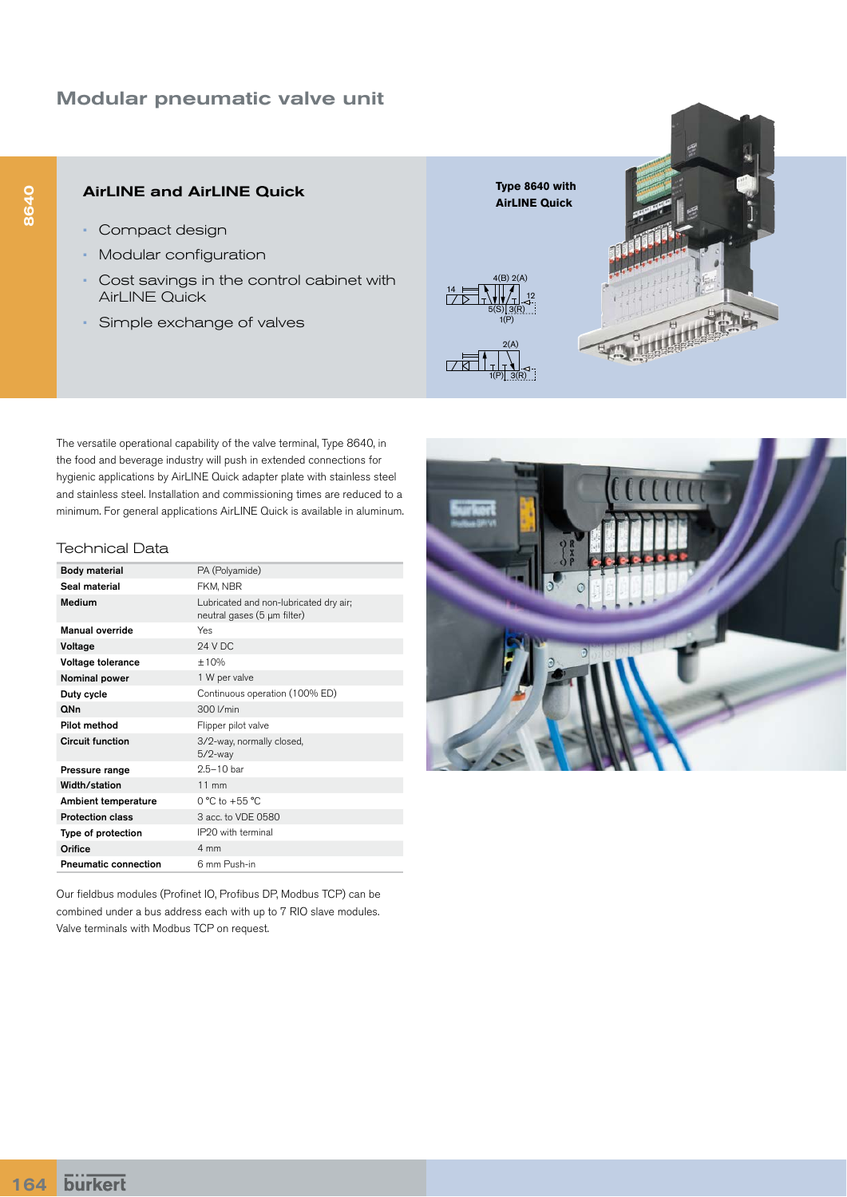# Modular pneumatic valve unit

## AirLINE and AirLINE Quick

- Compact design
- Modular configuration
- Cost savings in the control cabinet with AirLINE Quick
- Simple exchange of valves



The versatile operational capability of the valve terminal, Type 8640, in the food and beverage industry will push in extended connections for hygienic applications by AirLINE Quick adapter plate with stainless steel and stainless steel. Installation and commissioning times are reduced to a minimum. For general applications AirLINE Quick is available in aluminum.

#### Technical Data

| <b>Body material</b>        | PA (Polyamide)                                                        |
|-----------------------------|-----------------------------------------------------------------------|
| Seal material               | FKM, NBR                                                              |
| Medium                      | Lubricated and non-lubricated dry air;<br>neutral gases (5 µm filter) |
| <b>Manual override</b>      | Yes                                                                   |
| Voltage                     | <b>24 V DC</b>                                                        |
| Voltage tolerance           | ±10%                                                                  |
| Nominal power               | 1 W per valve                                                         |
| Duty cycle                  | Continuous operation (100% ED)                                        |
| QNn                         | 300 I/min                                                             |
| Pilot method                | Flipper pilot valve                                                   |
| <b>Circuit function</b>     | 3/2-way, normally closed,<br>$5/2$ -way                               |
| Pressure range              | $2.5 - 10$ bar                                                        |
| Width/station               | $11$ mm                                                               |
| Ambient temperature         | $0 °C$ to +55 $ °C$                                                   |
| <b>Protection class</b>     | 3 acc. to VDE 0580                                                    |
| Type of protection          | IP20 with terminal                                                    |
| Orifice                     | 4 mm                                                                  |
| <b>Pneumatic connection</b> | 6 mm Push-in                                                          |

Our fieldbus modules (Profinet IO, Profibus DP, Modbus TCP) can be combined under a bus address each with up to 7 RIO slave modules. Valve terminals with Modbus TCP on request.

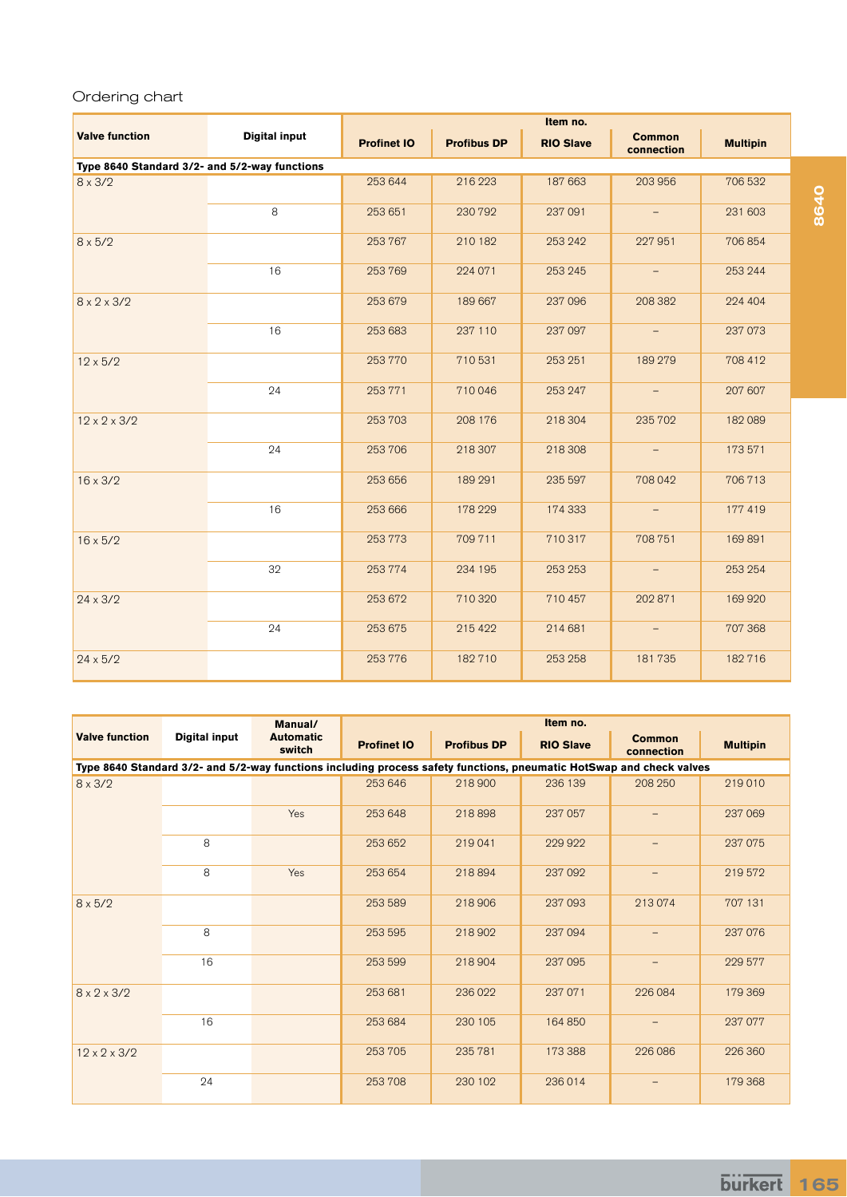### Ordering chart

|                                               |                      | Item no.           |                    |                  |                             |                 |  |  |  |
|-----------------------------------------------|----------------------|--------------------|--------------------|------------------|-----------------------------|-----------------|--|--|--|
| <b>Valve function</b>                         | <b>Digital input</b> | <b>Profinet IO</b> | <b>Profibus DP</b> | <b>RIO Slave</b> | <b>Common</b><br>connection | <b>Multipin</b> |  |  |  |
| Type 8640 Standard 3/2- and 5/2-way functions |                      |                    |                    |                  |                             |                 |  |  |  |
| $8 \times 3/2$                                |                      | 253 644            | 216 223            | 187 663          | 203 956                     | 706 532         |  |  |  |
|                                               | 8                    | 253 651            | 230 792            | 237 091          | $\overline{\phantom{a}}$    | 231 603         |  |  |  |
| $8 \times 5/2$                                |                      | 253767             | 210 182            | 253 242          | 227 951                     | 706 854         |  |  |  |
|                                               | 16                   | 253769             | 224 071            | 253 245          | $\overline{\phantom{m}}$    | 253 244         |  |  |  |
| $8 \times 2 \times 3/2$                       |                      | 253 679            | 189 667            | 237 096          | 208 382                     | 224 404         |  |  |  |
|                                               | 16                   | 253 683            | 237 110            | 237 097          | $\overline{\phantom{a}}$    | 237 073         |  |  |  |
| $12 \times 5/2$                               |                      | 253770             | 710 531            | 253 251          | 189 279                     | 708 412         |  |  |  |
|                                               | 24                   | 253771             | 710046             | 253 247          | $\overline{\phantom{m}}$    | 207 607         |  |  |  |
| $12 \times 2 \times 3/2$                      |                      | 253703             | 208 176            | 218 304          | 235 702                     | 182089          |  |  |  |
|                                               | 24                   | 253706             | 218 307            | 218 308          | $\qquad \qquad -$           | 173 571         |  |  |  |
| $16 \times 3/2$                               |                      | 253 656            | 189 291            | 235 597          | 708 042                     | 706713          |  |  |  |
|                                               | 16                   | 253 666            | 178 229            | 174 333          |                             | 177 419         |  |  |  |
| $16 \times 5/2$                               |                      | 253773             | 709 711            | 710317           | 708 751                     | 169891          |  |  |  |
|                                               | 32                   | 253774             | 234 195            | 253 253          |                             | 253 254         |  |  |  |
| $24 \times 3/2$                               |                      | 253 672            | 710 320            | 710 457          | 202 871                     | 169 920         |  |  |  |
|                                               | 24                   | 253 675            | 215 422            | 214 681          |                             | 707 368         |  |  |  |
| $24 \times 5/2$                               |                      | 253776             | 182710             | 253 258          | 181735                      | 182716          |  |  |  |

|                                                                                                                      |                      | Manual/                    | Item no.           |                    |                  |                          |                 |  |
|----------------------------------------------------------------------------------------------------------------------|----------------------|----------------------------|--------------------|--------------------|------------------|--------------------------|-----------------|--|
| <b>Valve function</b>                                                                                                | <b>Digital input</b> | <b>Automatic</b><br>switch | <b>Profinet IO</b> | <b>Profibus DP</b> | <b>RIO Slave</b> | Common<br>connection     | <b>Multipin</b> |  |
| Type 8640 Standard 3/2- and 5/2-way functions including process safety functions, pneumatic HotSwap and check valves |                      |                            |                    |                    |                  |                          |                 |  |
| $8 \times 3/2$                                                                                                       |                      |                            | 253 646            | 218 900            | 236 139          | 208 250                  | 219 010         |  |
|                                                                                                                      |                      | Yes                        | 253 648            | 218898             | 237 057          |                          | 237 069         |  |
|                                                                                                                      | 8                    |                            | 253 652            | 219 041            | 229 922          |                          | 237 075         |  |
|                                                                                                                      | 8                    | Yes                        | 253 654            | 218894             | 237 092          | $\qquad \qquad -$        | 219572          |  |
| $8 \times 5/2$                                                                                                       |                      |                            | 253 589            | 218 906            | 237 093          | 213074                   | 707 131         |  |
|                                                                                                                      | 8                    |                            | 253 595            | 218 902            | 237 094          |                          | 237 076         |  |
|                                                                                                                      | 16                   |                            | 253 599            | 218 904            | 237 095          |                          | 229 577         |  |
| $8 \times 2 \times 3/2$                                                                                              |                      |                            | 253 681            | 236 022            | 237 071          | 226 084                  | 179 369         |  |
|                                                                                                                      | 16                   |                            | 253 684            | 230 105            | 164 850          | $\overline{\phantom{m}}$ | 237 077         |  |
| $12 \times 2 \times 3/2$                                                                                             |                      |                            | 253 705            | 235 781            | 173 388          | 226 086                  | 226 360         |  |
|                                                                                                                      | 24                   |                            | 253708             | 230 102            | 236014           |                          | 179 368         |  |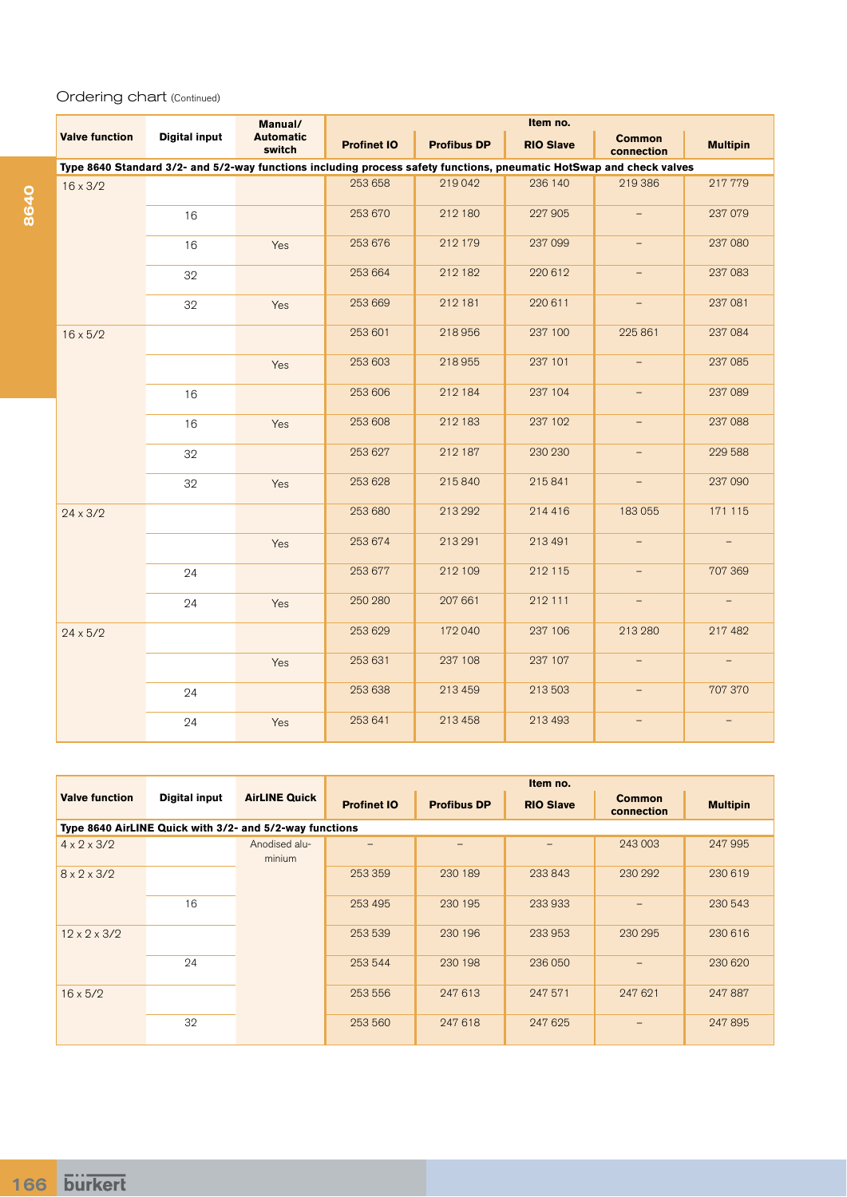### Ordering chart (Continued)

|                       |                                                                                                                      | Manual/                    | Item no.           |                    |                  |                             |                          |  |
|-----------------------|----------------------------------------------------------------------------------------------------------------------|----------------------------|--------------------|--------------------|------------------|-----------------------------|--------------------------|--|
| <b>Valve function</b> | <b>Digital input</b>                                                                                                 | <b>Automatic</b><br>switch | <b>Profinet IO</b> | <b>Profibus DP</b> | <b>RIO Slave</b> | <b>Common</b><br>connection | <b>Multipin</b>          |  |
|                       | Type 8640 Standard 3/2- and 5/2-way functions including process safety functions, pneumatic HotSwap and check valves |                            |                    |                    |                  |                             |                          |  |
| $16 \times 3/2$       |                                                                                                                      |                            | 253 658            | 219 042            | 236 140          | 219 386                     | 217779                   |  |
|                       | 16                                                                                                                   |                            | 253 670            | 212 180            | 227 905          |                             | 237 079                  |  |
|                       | 16                                                                                                                   | Yes                        | 253 676            | 212 179            | 237 099          | $\overline{\phantom{0}}$    | 237 080                  |  |
|                       | 32                                                                                                                   |                            | 253 664            | 212 182            | 220 612          | $\qquad \qquad -$           | 237 083                  |  |
|                       | 32                                                                                                                   | Yes                        | 253 669            | 212 181            | 220 611          | $\overline{\phantom{a}}$    | 237 081                  |  |
| $16 \times 5/2$       |                                                                                                                      |                            | 253 601            | 218956             | 237 100          | 225 861                     | 237 084                  |  |
|                       |                                                                                                                      | Yes                        | 253 603            | 218 955            | 237 101          | $=$                         | 237 085                  |  |
|                       | 16                                                                                                                   |                            | 253 606            | 212 184            | 237 104          | $\overline{\phantom{0}}$    | 237 089                  |  |
|                       | 16                                                                                                                   | Yes                        | 253 608            | 212 183            | 237 102          | $\overline{\phantom{0}}$    | 237 088                  |  |
|                       | 32                                                                                                                   |                            | 253 627            | 212 187            | 230 230          | $\qquad \qquad -$           | 229 588                  |  |
|                       | 32                                                                                                                   | Yes                        | 253 628            | 215 840            | 215841           |                             | 237 090                  |  |
| $24 \times 3/2$       |                                                                                                                      |                            | 253 680            | 213 292            | 214 416          | 183055                      | 171 115                  |  |
|                       |                                                                                                                      | Yes                        | 253 674            | 213 291            | 213 491          |                             |                          |  |
|                       | 24                                                                                                                   |                            | 253 677            | 212 109            | 212 115          | $\qquad \qquad -$           | 707 369                  |  |
|                       | 24                                                                                                                   | Yes                        | 250 280            | 207 661            | 212 111          |                             | $\overline{\phantom{a}}$ |  |
| $24 \times 5/2$       |                                                                                                                      |                            | 253 629            | 172 040            | 237 106          | 213 280                     | 217 482                  |  |
|                       |                                                                                                                      | Yes                        | 253 631            | 237 108            | 237 107          | $\overline{\phantom{0}}$    | $\overline{\phantom{a}}$ |  |
|                       | 24                                                                                                                   |                            | 253 638            | 213 459            | 213 503          | $-$                         | 707 370                  |  |
|                       | 24                                                                                                                   | Yes                        | 253 641            | 213 458            | 213 493          |                             |                          |  |

|                          |                                                         |                         | Item no.           |                    |                  |                             |                 |  |
|--------------------------|---------------------------------------------------------|-------------------------|--------------------|--------------------|------------------|-----------------------------|-----------------|--|
| <b>Valve function</b>    | Digital input                                           | <b>AirLINE Quick</b>    | <b>Profinet IO</b> | <b>Profibus DP</b> | <b>RIO Slave</b> | <b>Common</b><br>connection | <b>Multipin</b> |  |
|                          | Type 8640 AirLINE Quick with 3/2- and 5/2-way functions |                         |                    |                    |                  |                             |                 |  |
| $4 \times 2 \times 3/2$  |                                                         | Anodised alu-<br>minium |                    |                    |                  | 243 003                     | 247 995         |  |
| $8 \times 2 \times 3/2$  |                                                         |                         | 253 359            | 230 189            | 233843           | 230 292                     | 230 619         |  |
|                          | 16                                                      |                         | 253 495            | 230 195            | 233 933          |                             | 230 543         |  |
| $12 \times 2 \times 3/2$ |                                                         |                         | 253 539            | 230 196            | 233 953          | 230 295                     | 230 616         |  |
|                          | 24                                                      |                         | 253 544            | 230 198            | 236 050          |                             | 230 620         |  |
| $16 \times 5/2$          |                                                         |                         | 253 556            | 247 613            | 247 571          | 247 621                     | 247 887         |  |
|                          | 32                                                      |                         | 253 560            | 247 618            | 247 625          | $\qquad \qquad$             | 247895          |  |